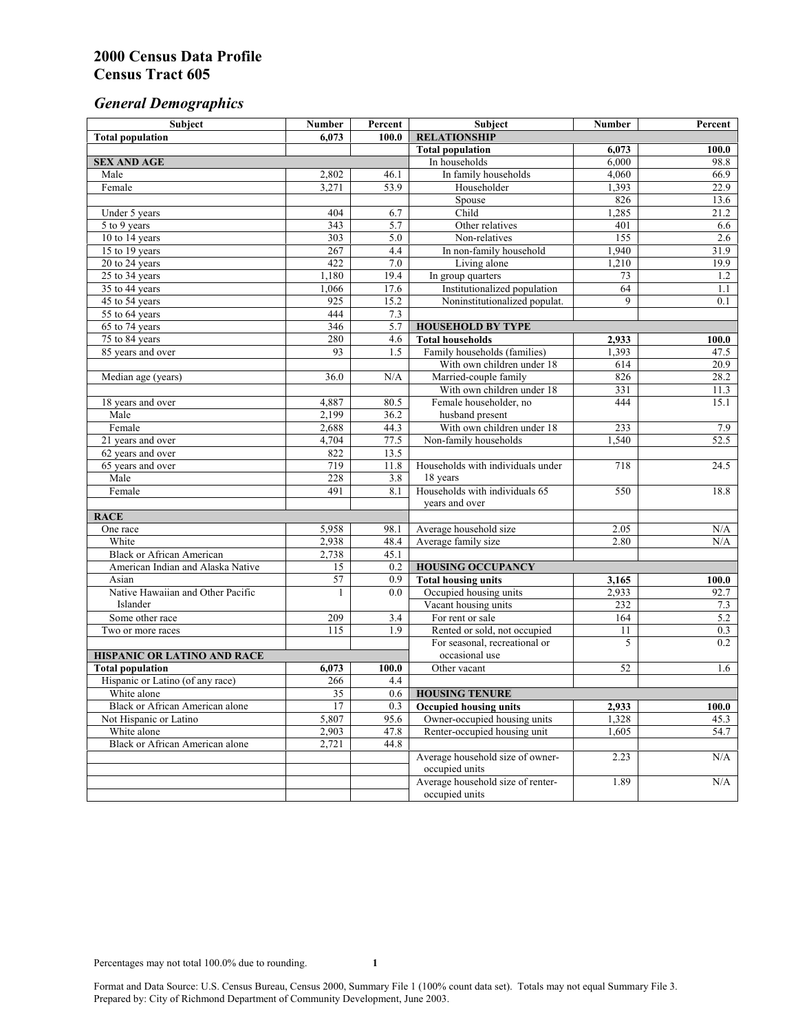# *General Demographics*

| Subject                                | <b>Number</b>    | Percent      | Subject                           | Number | Percent |
|----------------------------------------|------------------|--------------|-----------------------------------|--------|---------|
| <b>Total population</b>                | 6,073            | 100.0        | <b>RELATIONSHIP</b>               |        |         |
|                                        |                  |              | <b>Total population</b>           | 6,073  | 100.0   |
| <b>SEX AND AGE</b>                     |                  |              | In households                     | 6,000  | 98.8    |
| Male                                   | 2,802            | 46.1         | In family households              | 4,060  | 66.9    |
| Female                                 | 3,271            | 53.9         | Householder                       | 1,393  | 22.9    |
|                                        |                  |              | Spouse                            | 826    | 13.6    |
| Under 5 years                          | 404              | 6.7          | Child                             | 1,285  | 21.2    |
| 5 to 9 years                           | 343              | 5.7          | Other relatives                   | 401    | 6.6     |
| 10 to 14 years                         | 303              | 5.0          | Non-relatives                     | 155    | 2.6     |
| 15 to 19 years                         | 267              | 4.4          | In non-family household           | 1,940  | 31.9    |
| 20 to 24 years                         | 422              | 7.0          | Living alone                      | 1,210  | 19.9    |
| 25 to 34 years                         | 1,180            | 19.4         | In group quarters                 | 73     | 1.2     |
| 35 to 44 years                         | 1,066            | 17.6         | Institutionalized population      | 64     | 1.1     |
| 45 to 54 years                         | 925              | 15.2         | Noninstitutionalized populat.     | 9      | 0.1     |
| 55 to 64 years                         | 444              | 7.3          |                                   |        |         |
| 65 to 74 years                         | 346              | 5.7          | <b>HOUSEHOLD BY TYPE</b>          |        |         |
| 75 to 84 years                         | 280              | 4.6          | <b>Total households</b>           | 2,933  | 100.0   |
| 85 years and over                      | 93               | 1.5          | Family households (families)      | 1,393  | 47.5    |
|                                        |                  |              | With own children under 18        | 614    | 20.9    |
| Median age (years)                     | 36.0             | N/A          | Married-couple family             | 826    | 28.2    |
|                                        |                  |              | With own children under 18        | 331    | 11.3    |
| 18 years and over                      | 4,887            | 80.5         | Female householder, no            | 444    | 15.1    |
| Male                                   | 2,199            | 36.2         | husband present                   |        |         |
| Female                                 | 2,688            | 44.3         | With own children under 18        | 233    | 7.9     |
| 21 years and over                      | 4,704            | 77.5         | Non-family households             | 1,540  | 52.5    |
| 62 years and over                      | 822<br>719       | 13.5<br>11.8 | Households with individuals under | 718    | 24.5    |
| 65 years and over<br>Male              | 228              | 3.8          | 18 years                          |        |         |
| Female                                 | 491              | 8.1          | Households with individuals 65    | 550    | 18.8    |
|                                        |                  |              | years and over                    |        |         |
| <b>RACE</b>                            |                  |              |                                   |        |         |
| One race                               | 5,958            | 98.1         | Average household size            | 2.05   | N/A     |
| White                                  | 2,938            | 48.4         | Average family size               | 2.80   | N/A     |
| <b>Black or African American</b>       | 2,738            | 45.1         |                                   |        |         |
| American Indian and Alaska Native      | 15               | 0.2          | <b>HOUSING OCCUPANCY</b>          |        |         |
| Asian                                  | 57               | 0.9          | <b>Total housing units</b>        | 3,165  | 100.0   |
| Native Hawaiian and Other Pacific      | 1                | 0.0          | Occupied housing units            | 2,933  | 92.7    |
| Islander                               |                  |              | Vacant housing units              | 232    | 7.3     |
| Some other race                        | 209              | 3.4          | For rent or sale                  | 164    | 5.2     |
| Two or more races                      | $\overline{115}$ | 1.9          | Rented or sold, not occupied      | 11     | 0.3     |
|                                        |                  |              | For seasonal, recreational or     | 5      | 0.2     |
| HISPANIC OR LATINO AND RACE            |                  |              | occasional use                    |        |         |
| <b>Total population</b>                | 6,073            | 100.0        | Other vacant                      | 52     | 1.6     |
| Hispanic or Latino (of any race)       | 266              | 4.4          |                                   |        |         |
| White alone                            | 35               | 0.6          | <b>HOUSING TENURE</b>             |        |         |
| Black or African American alone        | 17               | 0.3          | <b>Occupied housing units</b>     | 2,933  | 100.0   |
| Not Hispanic or Latino                 | 5,807            | 95.6         | Owner-occupied housing units      | 1,328  | 45.3    |
| White alone                            | 2,903            | 47.8         | Renter-occupied housing unit      | 1,605  | 54.7    |
| <b>Black or African American alone</b> | 2,721            | 44.8         |                                   |        |         |
|                                        |                  |              | Average household size of owner-  | 2.23   | N/A     |
|                                        |                  |              | occupied units                    |        |         |
|                                        |                  |              | Average household size of renter- | 1.89   | N/A     |
|                                        |                  |              | occupied units                    |        |         |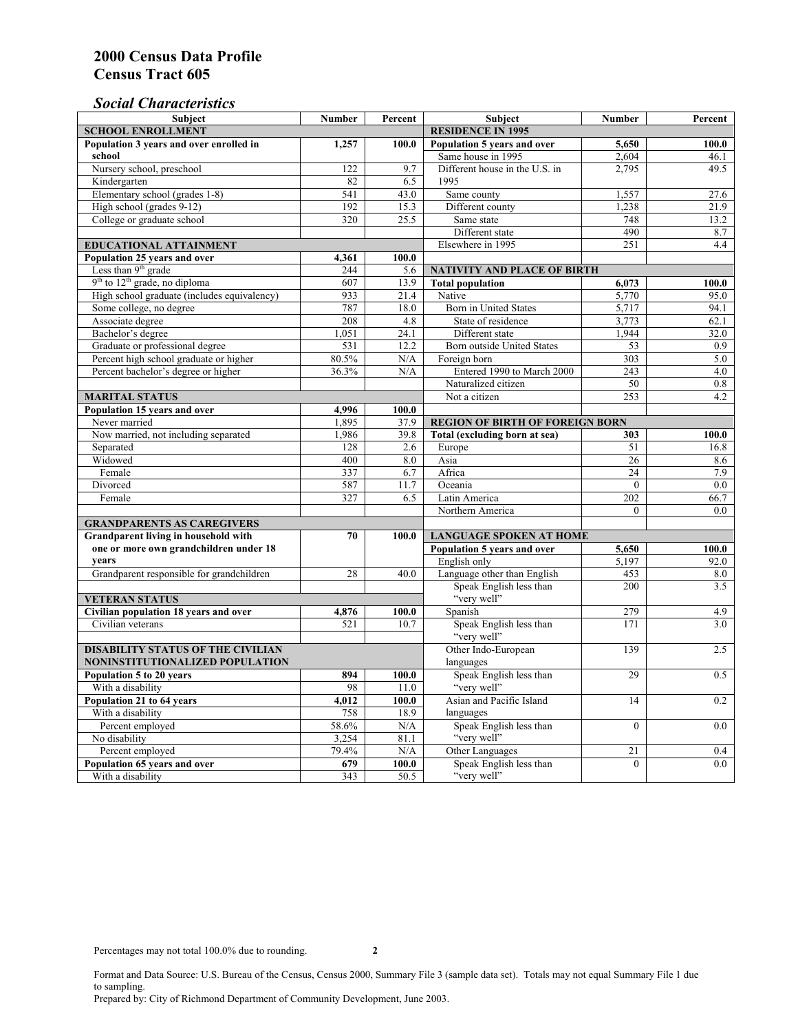# *Social Characteristics*

| <b>Subject</b>                                                                 | <b>Number</b>            | Percent                        | Subject                                       | Number          | Percent |
|--------------------------------------------------------------------------------|--------------------------|--------------------------------|-----------------------------------------------|-----------------|---------|
| <b>SCHOOL ENROLLMENT</b>                                                       | <b>RESIDENCE IN 1995</b> |                                |                                               |                 |         |
| Population 3 years and over enrolled in                                        | 1,257                    | 100.0                          | Population 5 years and over                   | 5,650           | 100.0   |
| school                                                                         |                          |                                | Same house in 1995                            | 2,604           | 46.1    |
| Nursery school, preschool                                                      | 122                      | 9.7                            | Different house in the U.S. in                | 2.795           | 49.5    |
| Kindergarten                                                                   | 82                       | 6.5                            | 1995                                          |                 |         |
| Elementary school (grades 1-8)                                                 | 541                      | 43.0                           | Same county                                   | 1,557           | 27.6    |
| High school (grades 9-12)                                                      | 192                      | 15.3                           | Different county                              | 1,238           | 21.9    |
| College or graduate school                                                     | 320                      | 25.5                           | Same state                                    | 748             | 13.2    |
|                                                                                |                          |                                | Different state                               | 490             | 8.7     |
| <b>EDUCATIONAL ATTAINMENT</b>                                                  |                          |                                | Elsewhere in 1995                             | 251             | 4.4     |
| Population 25 years and over                                                   | 4,361                    | 100.0                          |                                               |                 |         |
| Less than 9 <sup>th</sup> grade                                                | 244                      | 5.6                            | NATIVITY AND PLACE OF BIRTH                   |                 |         |
| $9th$ to $12th$ grade, no diploma                                              | 607                      | 13.9                           | <b>Total population</b>                       | 6,073           | 100.0   |
| High school graduate (includes equivalency)                                    | 933                      | 21.4                           | Native                                        | 5.770           | 95.0    |
| Some college, no degree                                                        | 787                      | 18.0                           | Born in United States                         | 5,717           | 94.1    |
| Associate degree                                                               | 208                      | 4.8                            | State of residence                            | 3,773           | 62.1    |
| Bachelor's degree                                                              | 1,051                    | 24.1                           | Different state                               | 1,944           | 32.0    |
| Graduate or professional degree                                                | 531                      | 12.2                           | Born outside United States                    | 53              | 0.9     |
| Percent high school graduate or higher                                         | 80.5%                    | N/A                            | Foreign born                                  | $\frac{303}{ }$ | 5.0     |
| Percent bachelor's degree or higher                                            | 36.3%                    | N/A                            | Entered 1990 to March 2000                    | 243             | 4.0     |
|                                                                                |                          |                                | Naturalized citizen                           | 50              | 0.8     |
| <b>MARITAL STATUS</b>                                                          |                          |                                | Not a citizen                                 | 253             | 4.2     |
| Population 15 years and over                                                   | 4.996                    | 100.0                          |                                               |                 |         |
| Never married                                                                  | 1,895                    | 37.9                           | <b>REGION OF BIRTH OF FOREIGN BORN</b>        |                 |         |
| Now married, not including separated                                           | 1,986                    | 39.8                           | Total (excluding born at sea)                 | 303             | 100.0   |
| Separated                                                                      | 128                      | 2.6                            | Europe                                        | 51              | 16.8    |
| Widowed                                                                        | 400                      | 8.0                            | Asia                                          | 26              | 8.6     |
| Female                                                                         | 337                      | 6.7                            | Africa                                        | 24              | 7.9     |
| Divorced                                                                       | 587                      | 11.7                           | Oceania                                       | $\theta$        | 0.0     |
| Female                                                                         | 327                      | 6.5                            | Latin America                                 | 202             | 66.7    |
|                                                                                |                          |                                | Northern America                              | $\theta$        | 0.0     |
| <b>GRANDPARENTS AS CAREGIVERS</b>                                              | 70                       | <b>LANGUAGE SPOKEN AT HOME</b> |                                               |                 |         |
| Grandparent living in household with<br>one or more own grandchildren under 18 |                          | 100.0                          | Population 5 years and over<br>5,650<br>100.0 |                 |         |
| vears                                                                          |                          |                                | English only                                  | 5,197           | 92.0    |
| Grandparent responsible for grandchildren                                      | 28                       | 40.0                           | Language other than English                   | 453             | 8.0     |
|                                                                                |                          |                                | Speak English less than                       | 200             | 3.5     |
| <b>VETERAN STATUS</b>                                                          |                          |                                | "very well"                                   |                 |         |
| Civilian population 18 years and over                                          | 4,876                    | 100.0                          | Spanish                                       | 279             | 4.9     |
| Civilian veterans                                                              | 521                      | 10.7                           | Speak English less than                       | 171             | 3.0     |
|                                                                                |                          |                                | "very well"                                   |                 |         |
| <b>DISABILITY STATUS OF THE CIVILIAN</b>                                       | Other Indo-European      | 139                            | 2.5                                           |                 |         |
| NONINSTITUTIONALIZED POPULATION                                                | languages                |                                |                                               |                 |         |
| Population 5 to 20 years                                                       | 894                      | 100.0                          | Speak English less than                       | 29              | 0.5     |
| With a disability                                                              | 98                       | 11.0                           | "very well"                                   |                 |         |
| Population 21 to 64 years                                                      | 4.012                    | 100.0                          | Asian and Pacific Island                      | 14              | 0.2     |
| With a disability                                                              | 758                      | 18.9                           | languages                                     |                 |         |
| Percent employed                                                               | 58.6%                    | N/A                            | Speak English less than                       | $\overline{0}$  | 0.0     |
| No disability                                                                  | 3,254                    | 81.1                           | "very well"                                   |                 |         |
| Percent employed                                                               | 79.4%                    | N/A                            | Other Languages                               | 21              | 0.4     |
| Population 65 years and over                                                   | 679                      | 100.0                          | Speak English less than                       | $\mathbf{0}$    | 0.0     |
| With a disability                                                              | 343                      | 50.5                           | "very well"                                   |                 |         |

Format and Data Source: U.S. Bureau of the Census, Census 2000, Summary File 3 (sample data set). Totals may not equal Summary File 1 due to sampling.

Prepared by: City of Richmond Department of Community Development, June 2003.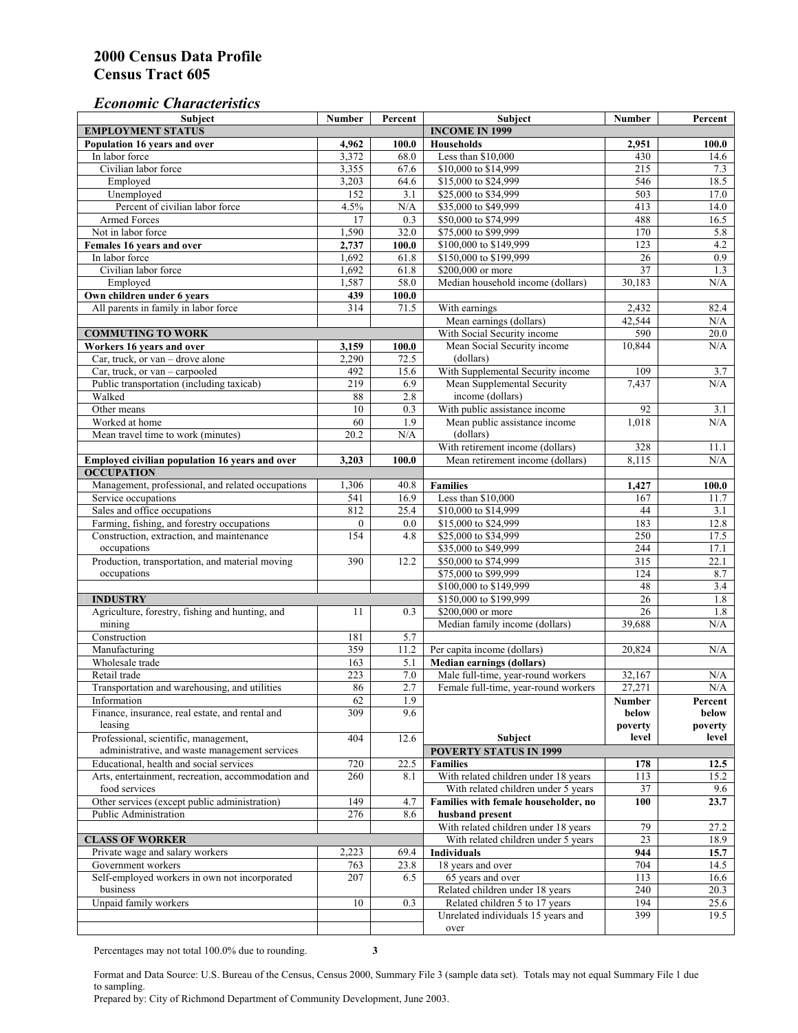# *Economic Characteristics*

| <b>Subject</b>                                     | Number       | Percent | Subject                                    | Number          | Percent |
|----------------------------------------------------|--------------|---------|--------------------------------------------|-----------------|---------|
| <b>EMPLOYMENT STATUS</b>                           |              |         | <b>INCOME IN 1999</b>                      |                 |         |
| Population 16 years and over                       | 4,962        | 100.0   | <b>Households</b>                          | 2,951           | 100.0   |
| In labor force                                     | 3,372        | 68.0    | Less than \$10,000                         | 430             | 14.6    |
| Civilian labor force                               | 3,355        | 67.6    | \$10,000 to \$14,999                       | 215             | 7.3     |
| Employed                                           | 3,203        | 64.6    | \$15,000 to \$24,999                       | 546             | 18.5    |
| Unemployed                                         | 152          | 3.1     | \$25,000 to \$34,999                       | 503             | 17.0    |
| Percent of civilian labor force                    | 4.5%         | N/A     | \$35,000 to \$49,999                       | 413             | 14.0    |
| Armed Forces                                       | 17           | 0.3     | \$50,000 to \$74,999                       | 488             | 16.5    |
| Not in labor force                                 | 1,590        | 32.0    | \$75,000 to \$99,999                       | 170             | 5.8     |
| Females 16 years and over                          | 2,737        | 100.0   | \$100,000 to \$149,999                     | 123             | 4.2     |
| In labor force                                     | 1,692        | 61.8    | \$150,000 to \$199,999                     | 26              | 0.9     |
| Civilian labor force                               | 1,692        | 61.8    | \$200,000 or more                          | $\overline{37}$ | 1.3     |
| Employed                                           | 1,587        | 58.0    | Median household income (dollars)          | 30,183          | N/A     |
| Own children under 6 years                         | 439          | 100.0   |                                            |                 |         |
| All parents in family in labor force               | 314          | 71.5    | With earnings                              | 2,432           | 82.4    |
|                                                    |              |         | Mean earnings (dollars)                    | 42,544          | N/A     |
| <b>COMMUTING TO WORK</b>                           |              |         | With Social Security income                | 590             | 20.0    |
| Workers 16 years and over                          | 3,159        | 100.0   | Mean Social Security income                | 10,844          | N/A     |
| Car, truck, or van – drove alone                   | 2,290        | 72.5    | (dollars)                                  |                 |         |
| Car, truck, or van - carpooled                     | 492          | 15.6    | With Supplemental Security income          | 109             | 3.7     |
| Public transportation (including taxicab)          | 219          | 6.9     | Mean Supplemental Security                 | 7,437           | N/A     |
| Walked                                             | 88           | 2.8     | income (dollars)                           |                 |         |
| Other means                                        | 10           | 0.3     | With public assistance income              | 92              | 3.1     |
| Worked at home                                     | 60           | 1.9     |                                            | 1,018           | N/A     |
|                                                    |              |         | Mean public assistance income<br>(dollars) |                 |         |
| Mean travel time to work (minutes)                 | 20.2         | N/A     |                                            |                 |         |
|                                                    |              |         | With retirement income (dollars)           | 328             | 11.1    |
| Employed civilian population 16 years and over     | 3,203        | 100.0   | Mean retirement income (dollars)           | 8.115           | N/A     |
| <b>OCCUPATION</b>                                  |              |         |                                            |                 |         |
| Management, professional, and related occupations  | 1,306        | 40.8    | <b>Families</b>                            | 1,427           | 100.0   |
| Service occupations                                | 541          | 16.9    | Less than \$10,000                         | 167             | 11.7    |
| Sales and office occupations                       | 812          | 25.4    | \$10,000 to \$14,999                       | 44              | 3.1     |
| Farming, fishing, and forestry occupations         | $\mathbf{0}$ | 0.0     | \$15,000 to \$24,999                       | 183             | 12.8    |
| Construction, extraction, and maintenance          | 154          | 4.8     | \$25,000 to \$34,999                       | 250             | 17.5    |
| occupations                                        |              |         | \$35,000 to \$49,999                       | 244             | 17.1    |
| Production, transportation, and material moving    | 390          | 12.2    | \$50,000 to \$74,999                       | 315             | 22.1    |
| occupations                                        |              |         | \$75,000 to \$99,999                       | 124             | 8.7     |
|                                                    |              |         | \$100,000 to \$149,999                     | 48              | 3.4     |
| <b>INDUSTRY</b>                                    |              |         | \$150,000 to \$199,999                     | 26              | 1.8     |
| Agriculture, forestry, fishing and hunting, and    | 11           | 0.3     | \$200,000 or more                          | 26              | 1.8     |
| mining                                             |              |         | Median family income (dollars)             | 39,688          | N/A     |
| Construction                                       | 181          | 5.7     |                                            |                 |         |
| Manufacturing                                      | 359          | 11.2    | Per capita income (dollars)                | 20,824          | N/A     |
| Wholesale trade                                    | 163          | 5.1     | <b>Median earnings (dollars)</b>           |                 |         |
| Retail trade                                       | 223          | $7.0\,$ | Male full-time, year-round workers         | 32,167          | N/A     |
| Transportation and warehousing, and utilities      | 86           | 2.7     | Female full-time, year-round workers       | 27,271          | N/A     |
| Information                                        | 62           | 1.9     |                                            | Number          | Percent |
| Finance, insurance, real estate, and rental and    | 309          | 9.6     |                                            | below           | below   |
| leasing                                            |              |         |                                            | poverty         | poverty |
| Professional, scientific, management,              | 404          | 12.6    | Subject                                    | level           | level   |
| administrative, and waste management services      |              |         | <b>POVERTY STATUS IN 1999</b>              |                 |         |
| Educational, health and social services            | 720          | 22.5    | Families                                   | 178             | 12.5    |
| Arts, entertainment, recreation, accommodation and | 260          | 8.1     | With related children under 18 years       | 113             | 15.2    |
| food services                                      |              |         | With related children under 5 years        | 37              | 9.6     |
| Other services (except public administration)      | 149          | 4.7     | Families with female householder, no       | 100             | 23.7    |
| Public Administration                              | 276          | 8.6     | husband present                            |                 |         |
|                                                    |              |         | With related children under 18 years       | 79              | 27.2    |
| <b>CLASS OF WORKER</b>                             |              |         | With related children under 5 years        | 23              | 18.9    |
| Private wage and salary workers                    | 2,223        | 69.4    | Individuals                                | 944             | 15.7    |
| Government workers                                 | 763          | 23.8    | 18 years and over                          | 704             | 14.5    |
| Self-employed workers in own not incorporated      | 207          | 6.5     | 65 years and over                          | 113             | 16.6    |
| business                                           |              |         | Related children under 18 years            | 240             | 20.3    |
| Unpaid family workers                              | 10           | 0.3     | Related children 5 to 17 years             | 194             | 25.6    |
|                                                    |              |         | Unrelated individuals 15 years and         | 399             | 19.5    |
|                                                    |              |         | over                                       |                 |         |
|                                                    |              |         |                                            |                 |         |

Percentages may not total 100.0% due to rounding. **3** 

Format and Data Source: U.S. Bureau of the Census, Census 2000, Summary File 3 (sample data set). Totals may not equal Summary File 1 due to sampling.

Prepared by: City of Richmond Department of Community Development, June 2003.